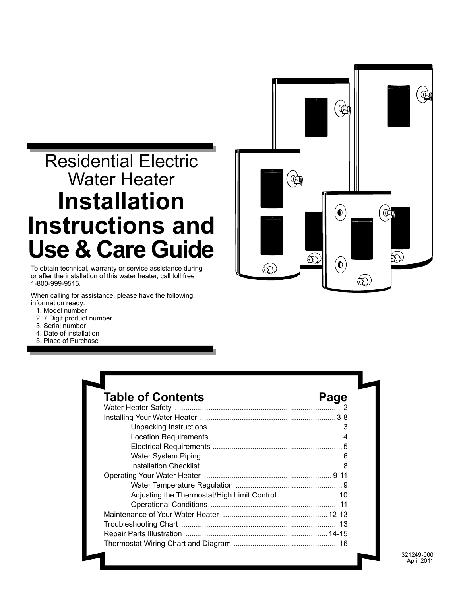# Residential Electric Water Heater **Installation Instructions and Use & Care Guide**

To obtain technical, warranty or service assistance during or after the installation of this water heater, call toll free 1-800-999-9515.

When calling for assistance, please have the following information ready:

- 1. Model number
- 2. 7 Digit product number
- 3. Serial number
- 4. Date of installation
- 5. Place of Purchase

| ۹                 | I                                                      | $\circ$                           | ℭ                                                                                                           |                                             | $\overline{0}$                      | ¶ |
|-------------------|--------------------------------------------------------|-----------------------------------|-------------------------------------------------------------------------------------------------------------|---------------------------------------------|-------------------------------------|---|
| l<br>$\mathbf{E}$ | $\alpha$<br>$\mathbb{R}^n$<br>$\overline{\phantom{a}}$ | $\circ$<br>$\widehat{\mathbb{C}}$ | $\left( \begin{matrix} \bullet \end{matrix} \right)$<br>$\left( \begin{matrix} 0 \\ 0 \end{matrix} \right)$ | $\mathbb{Q}$<br>$\circ$<br>$\mathfrak{L}_2$ | $\circ$<br>$\widehat{\mathfrak{D}}$ |   |

| <b>Table of Contents</b> | Page |
|--------------------------|------|
|                          |      |
|                          |      |
|                          |      |
|                          |      |
|                          |      |
|                          |      |
|                          |      |
|                          |      |
|                          |      |
|                          |      |
|                          |      |
|                          |      |
|                          |      |
|                          |      |
|                          |      |

321249-000 April 2011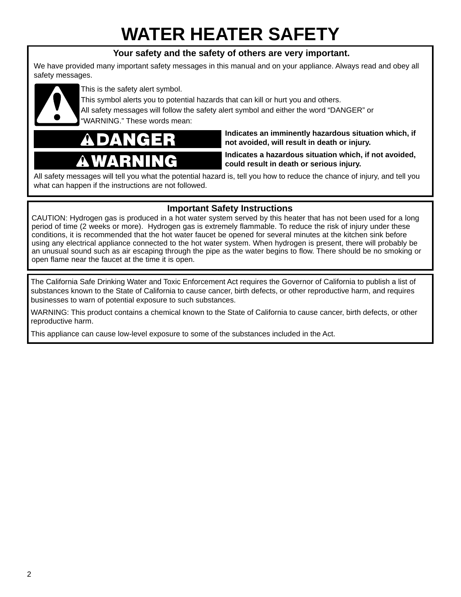# **WATER HEATER SAFETY**

#### **Your safety and the safety of others are very important.**

We have provided many important safety messages in this manual and on your appliance. Always read and obey all safety messages.



This is the safety alert symbol.

This symbol alerts you to potential hazards that can kill or hurt you and others.

All safety messages will follow the safety alert symbol and either the word "DANGER" or "WARNING." These words mean:



**Indicates an imminently hazardous situation which, if not avoided, will result in death or injury.**

**Indicates a hazardous situation which, if not avoided, could result in death or serious injury.**

All safety messages will tell you what the potential hazard is, tell you how to reduce the chance of injury, and tell you what can happen if the instructions are not followed.

#### **Important Safety Instructions**

CAUTION: Hydrogen gas is produced in a hot water system served by this heater that has not been used for a long period of time (2 weeks or more). Hydrogen gas is extremely flammable. To reduce the risk of injury under these conditions, it is recommended that the hot water faucet be opened for several minutes at the kitchen sink before using any electrical appliance connected to the hot water system. When hydrogen is present, there will probably be an unusual sound such as air escaping through the pipe as the water begins to flow. There should be no smoking or open flame near the faucet at the time it is open.

The California Safe Drinking Water and Toxic Enforcement Act requires the Governor of California to publish a list of substances known to the State of California to cause cancer, birth defects, or other reproductive harm, and requires businesses to warn of potential exposure to such substances.

WARNING: This product contains a chemical known to the State of California to cause cancer, birth defects, or other reproductive harm.

This appliance can cause low-level exposure to some of the substances included in the Act.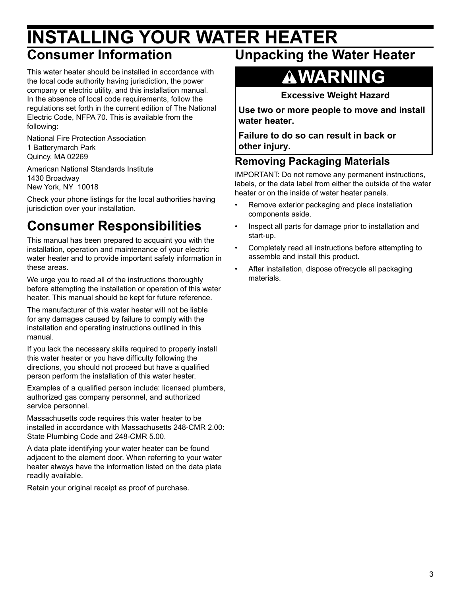### **INSTALLING YOUR WATER HEATER Consumer Information**

#### This water heater should be installed in accordance with the local code authority having jurisdiction, the power company or electric utility, and this installation manual. In the absence of local code requirements, follow the regulations set forth in the current edition of The National

Electric Code, NFPA 70. This is available from the following:

National Fire Protection Association 1 Batterymarch Park Quincy, MA 02269

American National Standards Institute 1430 Broadway New York, NY 10018

Check your phone listings for the local authorities having jurisdiction over your installation.

### **Consumer Responsibilities**

This manual has been prepared to acquaint you with the installation, operation and maintenance of your electric water heater and to provide important safety information in these areas.

We urge you to read all of the instructions thoroughly before attempting the installation or operation of this water heater. This manual should be kept for future reference.

The manufacturer of this water heater will not be liable for any damages caused by failure to comply with the installation and operating instructions outlined in this manual.

If you lack the necessary skills required to properly install this water heater or you have difficulty following the directions, you should not proceed but have a qualified person perform the installation of this water heater.

Examples of a qualified person include: licensed plumbers, authorized gas company personnel, and authorized service personnel.

Massachusetts code requires this water heater to be installed in accordance with Massachusetts 248-CMR 2.00: State Plumbing Code and 248-CMR 5.00.

A data plate identifying your water heater can be found adjacent to the element door. When referring to your water heater always have the information listed on the data plate readily available.

Retain your original receipt as proof of purchase.

### **Unpacking the Water Heater**

# **WARNING**

**Excessive Weight Hazard**

**Use two or more people to move and install water heater.**

**Failure to do so can result in back or other injury.**

#### **Removing Packaging Materials**

IMPORTANT: Do not remove any permanent instructions, labels, or the data label from either the outside of the water heater or on the inside of water heater panels.

- Remove exterior packaging and place installation components aside.
- Inspect all parts for damage prior to installation and start-up.
- Completely read all instructions before attempting to assemble and install this product.
- After installation, dispose of/recycle all packaging materials.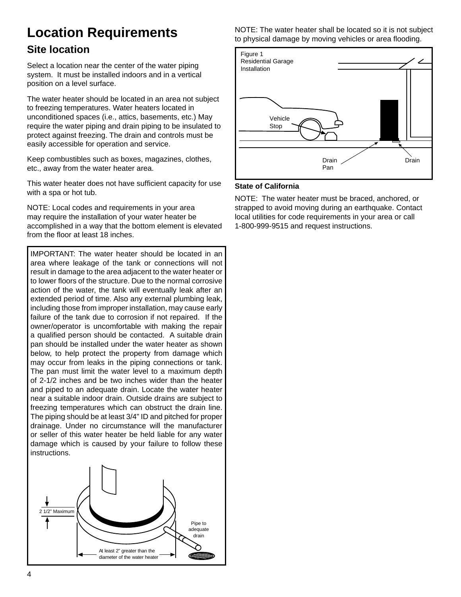### **Location Requirements**

#### **Site location**

Select a location near the center of the water piping system. It must be installed indoors and in a vertical position on a level surface.

The water heater should be located in an area not subject to freezing temperatures. Water heaters located in unconditioned spaces (i.e., attics, basements, etc.) May require the water piping and drain piping to be insulated to protect against freezing. The drain and controls must be easily accessible for operation and service.

Keep combustibles such as boxes, magazines, clothes, etc., away from the water heater area.

This water heater does not have sufficient capacity for use with a spa or hot tub.

NOTE: Local codes and requirements in your area may require the installation of your water heater be accomplished in a way that the bottom element is elevated from the floor at least 18 inches.

IMPORTANT: The water heater should be located in an area where leakage of the tank or connections will not result in damage to the area adjacent to the water heater or to lower floors of the structure. Due to the normal corrosive action of the water, the tank will eventually leak after an extended period of time. Also any external plumbing leak, including those from improper installation, may cause early failure of the tank due to corrosion if not repaired. If the owner/operator is uncomfortable with making the repair a qualified person should be contacted. A suitable drain pan should be installed under the water heater as shown below, to help protect the property from damage which may occur from leaks in the piping connections or tank. The pan must limit the water level to a maximum depth of 2-1/2 inches and be two inches wider than the heater and piped to an adequate drain. Locate the water heater near a suitable indoor drain. Outside drains are subject to freezing temperatures which can obstruct the drain line. The piping should be at least 3/4" ID and pitched for proper drainage. Under no circumstance will the manufacturer or seller of this water heater be held liable for any water damage which is caused by your failure to follow these instructions.



NOTE: The water heater shall be located so it is not subject to physical damage by moving vehicles or area flooding.



#### **State of California**

NOTE: The water heater must be braced, anchored, or strapped to avoid moving during an earthquake. Contact local utilities for code requirements in your area or call 1-800-999-9515 and request instructions.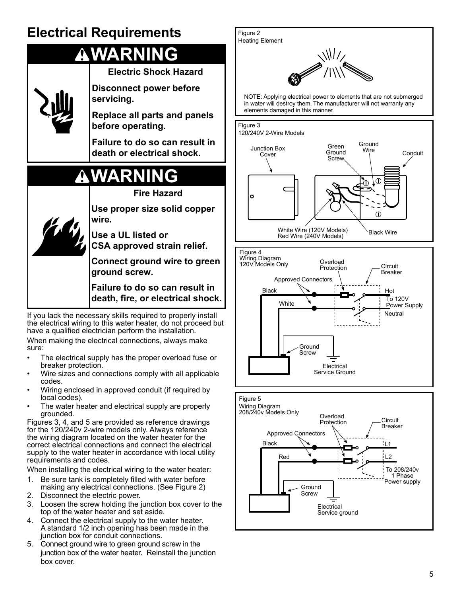### **Electrical Requirements**

# **WARNING**



have a qualified electrician perform the installation. When making the electrical connections, always make

sure:

- The electrical supply has the proper overload fuse or breaker protection.
- Wire sizes and connections comply with all applicable codes.
- Wiring enclosed in approved conduit (if required by local codes).
- The water heater and electrical supply are properly grounded.

Figures 3, 4, and 5 are provided as reference drawings for the 120/240v 2-wire models only. Always reference the wiring diagram located on the water heater for the correct electrical connections and connect the electrical supply to the water heater in accordance with local utility requirements and codes.

When installing the electrical wiring to the water heater:

- 1. Be sure tank is completely filled with water before making any electrical connections. (See Figure 2)
- 2. Disconnect the electric power.
- 3. Loosen the screw holding the junction box cover to the top of the water heater and set aside.
- 4. Connect the electrical supply to the water heater. A standard 1/2 inch opening has been made in the junction box for conduit connections.
- 5. Connect ground wire to green ground screw in the junction box of the water heater. Reinstall the junction box cover.

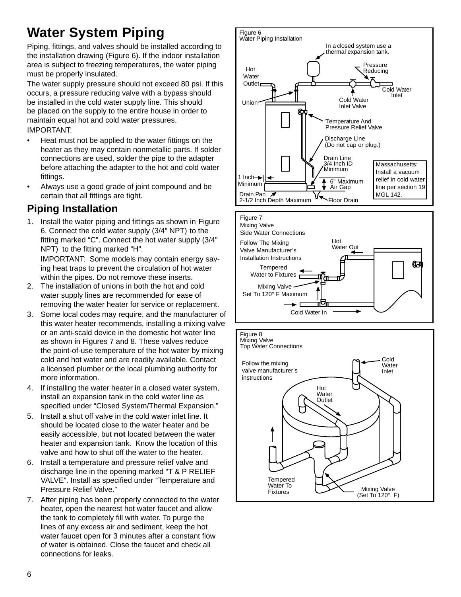### **Water System Piping**

Piping, fittings, and valves should be installed according to the installation drawing (Figure 6). If the indoor installation area is subject to freezing temperatures, the water piping must be properly insulated.

The water supply pressure should not exceed 80 psi. If this occurs, a pressure reducing valve with a bypass should be installed in the cold water supply line. This should be placed on the supply to the entire house in order to maintain equal hot and cold water pressures. IMPORTANT:

- Heat must not be applied to the water fittings on the heater as they may contain nonmetallic parts. If solder connections are used, solder the pipe to the adapter before attaching the adapter to the hot and cold water fittings.
- Always use a good grade of joint compound and be certain that all fittings are tight.

### **Piping Installation**

1. Install the water piping and fittings as shown in Figure 6. Connect the cold water supply (3/4" NPT) to the fitting marked "C". Connect the hot water supply (3/4" NPT) to the fitting marked "H".

 IMPORTANT: Some models may contain energy saving heat traps to prevent the circulation of hot water within the pipes. Do not remove these inserts.

- 2. The installation of unions in both the hot and cold water supply lines are recommended for ease of removing the water heater for service or replacement.
- 3. Some local codes may require, and the manufacturer of this water heater recommends, installing a mixing valve or an anti-scald device in the domestic hot water line as shown in Figures 7 and 8. These valves reduce the point-of-use temperature of the hot water by mixing cold and hot water and are readily available. Contact a licensed plumber or the local plumbing authority for more information.
- 4. If installing the water heater in a closed water system, install an expansion tank in the cold water line as specified under "Closed System/Thermal Expansion."
- 5. Install a shut off valve in the cold water inlet line. It should be located close to the water heater and be easily accessible, but **not** located between the water heater and expansion tank. Know the location of this valve and how to shut off the water to the heater.
- 6. Install a temperature and pressure relief valve and discharge line in the opening marked "T & P RELIEF VALVE". Install as specified under "Temperature and Pressure Relief Valve."
- 7. After piping has been properly connected to the water heater, open the nearest hot water faucet and allow the tank to completely fill with water. To purge the lines of any excess air and sediment, keep the hot water faucet open for 3 minutes after a constant flow of water is obtained. Close the faucet and check all connections for leaks.

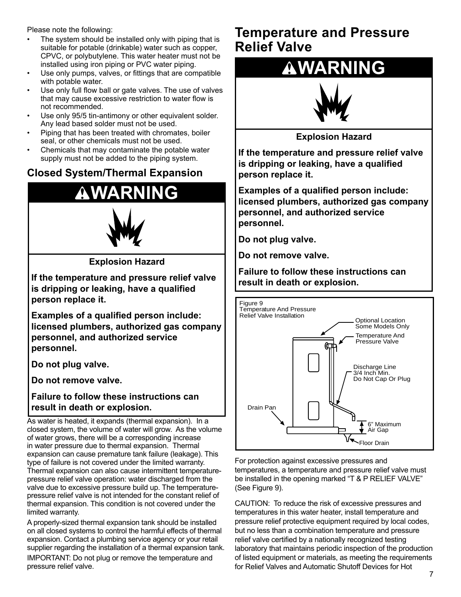Please note the following:

- The system should be installed only with piping that is suitable for potable (drinkable) water such as copper, CPVC, or polybutylene. This water heater must not be installed using iron piping or PVC water piping.
- Use only pumps, valves, or fittings that are compatible with potable water.
- Use only full flow ball or gate valves. The use of valves that may cause excessive restriction to water flow is not recommended.
- Use only 95/5 tin-antimony or other equivalent solder. Any lead based solder must not be used.
- Piping that has been treated with chromates, boiler seal, or other chemicals must not be used.
- Chemicals that may contaminate the potable water supply must not be added to the piping system.

#### **Closed System/Thermal Expansion**

# **WARNING**



**Explosion Hazard**

**If the temperature and pressure relief valve is dripping or leaking, have a qualified person replace it.**

**Examples of a qualified person include: licensed plumbers, authorized gas company personnel, and authorized service personnel.**

**Do not plug valve.**

**Do not remove valve.**

**Failure to follow these instructions can result in death or explosion.**

As water is heated, it expands (thermal expansion). In a closed system, the volume of water will grow. As the volume of water grows, there will be a corresponding increase in water pressure due to thermal expansion. Thermal expansion can cause premature tank failure (leakage). This type of failure is not covered under the limited warranty. Thermal expansion can also cause intermittent temperaturepressure relief valve operation: water discharged from the valve due to excessive pressure build up. The temperaturepressure relief valve is not intended for the constant relief of thermal expansion. This condition is not covered under the limited warranty.

A properly-sized thermal expansion tank should be installed on all closed systems to control the harmful effects of thermal expansion. Contact a plumbing service agency or your retail supplier regarding the installation of a thermal expansion tank.

IMPORTANT: Do not plug or remove the temperature and pressure relief valve.

### **Temperature and Pressure Relief Valve**

# **WARNING**



**Explosion Hazard**

**If the temperature and pressure relief valve is dripping or leaking, have a qualified person replace it.**

**Examples of a qualified person include: licensed plumbers, authorized gas company personnel, and authorized service personnel.**

**Do not plug valve.**

**Do not remove valve.**

**Failure to follow these instructions can result in death or explosion.**



For protection against excessive pressures and temperatures, a temperature and pressure relief valve must be installed in the opening marked "T & P RELIEF VALVE" (See Figure 9).

CAUTION: To reduce the risk of excessive pressures and temperatures in this water heater, install temperature and pressure relief protective equipment required by local codes, but no less than a combination temperature and pressure relief valve certified by a nationally recognized testing laboratory that maintains periodic inspection of the production of listed equipment or materials, as meeting the requirements for Relief Valves and Automatic Shutoff Devices for Hot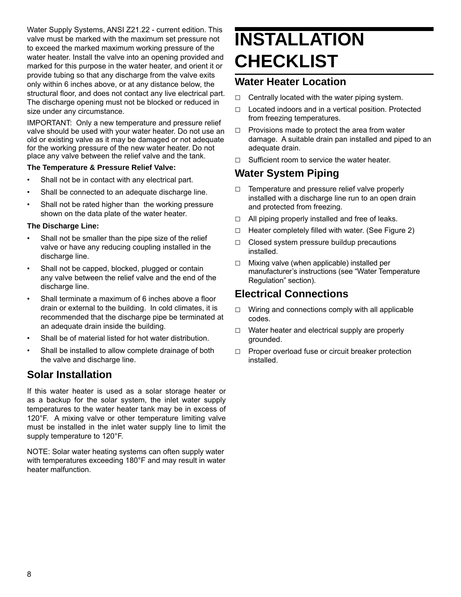Water Supply Systems, ANSI Z21.22 - current edition. This valve must be marked with the maximum set pressure not to exceed the marked maximum working pressure of the water heater. Install the valve into an opening provided and marked for this purpose in the water heater, and orient it or provide tubing so that any discharge from the valve exits only within 6 inches above, or at any distance below, the structural floor, and does not contact any live electrical part. The discharge opening must not be blocked or reduced in size under any circumstance.

IMPORTANT: Only a new temperature and pressure relief valve should be used with your water heater. Do not use an old or existing valve as it may be damaged or not adequate for the working pressure of the new water heater. Do not place any valve between the relief valve and the tank.

#### **The Temperature & Pressure Relief Valve:**

- Shall not be in contact with any electrical part.
- Shall be connected to an adequate discharge line.
- Shall not be rated higher than the working pressure shown on the data plate of the water heater.

#### **The Discharge Line:**

- Shall not be smaller than the pipe size of the relief valve or have any reducing coupling installed in the discharge line.
- Shall not be capped, blocked, plugged or contain any valve between the relief valve and the end of the discharge line.
- Shall terminate a maximum of 6 inches above a floor drain or external to the building. In cold climates, it is recommended that the discharge pipe be terminated at an adequate drain inside the building.
- Shall be of material listed for hot water distribution.
- Shall be installed to allow complete drainage of both the valve and discharge line.

#### **Solar Installation**

If this water heater is used as a solar storage heater or as a backup for the solar system, the inlet water supply temperatures to the water heater tank may be in excess of 120°F. A mixing valve or other temperature limiting valve must be installed in the inlet water supply line to limit the supply temperature to 120°F.

NOTE: Solar water heating systems can often supply water with temperatures exceeding 180°F and may result in water heater malfunction.

# **INSTALLATION CHECKLIST**

#### **Water Heater Location**

- $\Box$  Centrally located with the water piping system.
- □ Located indoors and in a vertical position. Protected from freezing temperatures.
- $\Box$  Provisions made to protect the area from water damage. A suitable drain pan installed and piped to an adequate drain.
- $\nabla$  Sufficient room to service the water heater.

#### **Water System Piping**

- $\Box$  Temperature and pressure relief valve properly installed with a discharge line run to an open drain and protected from freezing.
- □ All piping properly installed and free of leaks.
- $\Box$  Heater completely filled with water. (See Figure 2)
- $\Box$  Closed system pressure buildup precautions installed.
- □ Mixing valve (when applicable) installed per manufacturer's instructions (see "Water Temperature Regulation" section).

#### **Electrical Connections**

- $\Box$  Wiring and connections comply with all applicable codes.
- $\Box$  Water heater and electrical supply are properly grounded.
- □ Proper overload fuse or circuit breaker protection installed.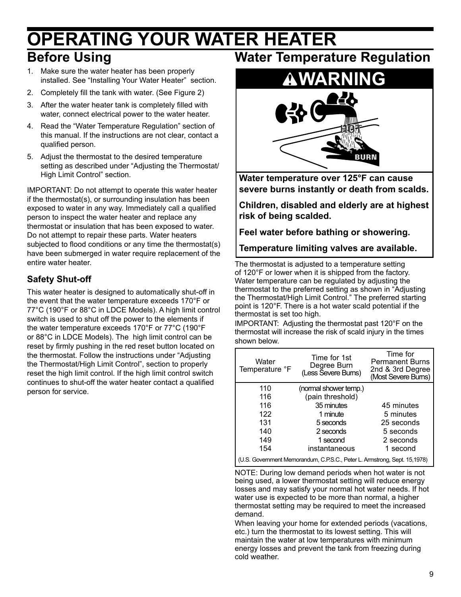### **OPERATING YOUR WATER HEATER Before Using**

- 1. Make sure the water heater has been properly installed. See "Installing Your Water Heater" section.
- 2. Completely fill the tank with water. (See Figure 2)
- 3. After the water heater tank is completely filled with water, connect electrical power to the water heater.
- 4. Read the "Water Temperature Regulation" section of this manual. If the instructions are not clear, contact a qualified person.
- 5. Adjust the thermostat to the desired temperature setting as described under "Adjusting the Thermostat/ High Limit Control" section.

IMPORTANT: Do not attempt to operate this water heater if the thermostat(s), or surrounding insulation has been exposed to water in any way. Immediately call a qualified person to inspect the water heater and replace any thermostat or insulation that has been exposed to water. Do not attempt to repair these parts. Water heaters subjected to flood conditions or any time the thermostat(s) have been submerged in water require replacement of the entire water heater.

#### **Safety Shut-off**

This water heater is designed to automatically shut-off in the event that the water temperature exceeds 170°F or 77°C (190°F or 88°C in LDCE Models). A high limit control switch is used to shut off the power to the elements if the water temperature exceeds 170°F or 77°C (190°F or 88°C in LDCE Models). The high limit control can be reset by firmly pushing in the red reset button located on the thermostat. Follow the instructions under "Adjusting the Thermostat/High Limit Control", section to properly reset the high limit control. If the high limit control switch continues to shut-off the water heater contact a qualified person for service.

### **Water Temperature Regulation**



**Water temperature over 125°F can cause severe burns instantly or death from scalds.**

**Children, disabled and elderly are at highest risk of being scalded.**

**Feel water before bathing or showering.**

**Temperature limiting valves are available.**

The thermostat is adjusted to a temperature setting of 120°F or lower when it is shipped from the factory. Water temperature can be regulated by adjusting the thermostat to the preferred setting as shown in "Adjusting the Thermostat/High Limit Control." The preferred starting point is 120°F. There is a hot water scald potential if the thermostat is set too high.

IMPORTANT:Adjusting the thermostat past 120°F on the thermostat will increase the risk of scald injury in the times shown below.

| Water<br>Temperature °F                                                   | Time for 1st<br>Degree Burn<br>(Less Severe Bums) | Time for<br><b>Permanent Burns</b><br>2nd & 3rd Degree<br>(Most Severe Burns) |
|---------------------------------------------------------------------------|---------------------------------------------------|-------------------------------------------------------------------------------|
| 110                                                                       | (normal shower temp.)                             |                                                                               |
| 116                                                                       | (pain threshold)                                  |                                                                               |
| 116                                                                       | 35 minutes                                        | 45 minutes                                                                    |
| 122                                                                       | 1 minute                                          | 5 minutes                                                                     |
| 131                                                                       | 5 seconds                                         | 25 seconds                                                                    |
| 140                                                                       | 2 seconds                                         | 5 seconds                                                                     |
| 149                                                                       | 1 second                                          | 2 seconds                                                                     |
| 154                                                                       | instantaneous                                     | 1 second                                                                      |
| (U.S. Government Memorandum, C.P.S.C., Peter L. Armstrong, Sept. 15,1978) |                                                   |                                                                               |

NOTE: During low demand periods when hot water is not being used, a lower thermostat setting will reduce energy losses and may satisfy your normal hot water needs. If hot water use is expected to be more than normal, a higher thermostat setting may be required to meet the increased demand.

When leaving your home for extended periods (vacations, etc.) turn the thermostat to its lowest setting. This will maintain the water at low temperatures with minimum energy losses and prevent the tank from freezing during cold weather.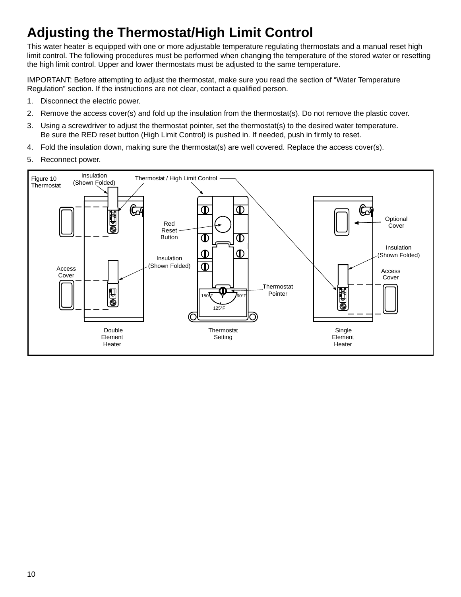### **Adjusting the Thermostat/High Limit Control**

This water heater is equipped with one or more adjustable temperature regulating thermostats and a manual reset high limit control. The following procedures must be performed when changing the temperature of the stored water or resetting the high limit control. Upper and lower thermostats must be adjusted to the same temperature.

IMPORTANT: Before attempting to adjust the thermostat, make sure you read the section of "Water Temperature Regulation" section. If the instructions are not clear, contact a qualified person.

- 1. Disconnect the electric power.
- 2. Remove the access cover(s) and fold up the insulation from the thermostat(s). Do not remove the plastic cover.
- 3. Using a screwdriver to adjust the thermostat pointer, set the thermostat(s) to the desired water temperature. Be sure the RED reset button (High Limit Control) is pushed in. If needed, push in firmly to reset.
- 4. Fold the insulation down, making sure the thermostat(s) are well covered. Replace the access cover(s).
- 5. Reconnect power.

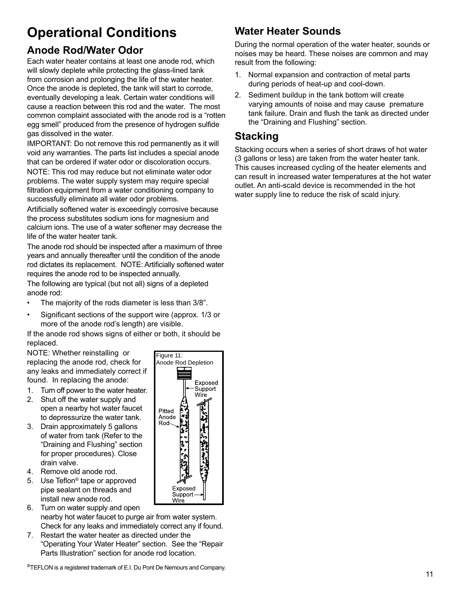### **Operational Conditions**

#### **Anode Rod/Water Odor**

Each water heater contains at least one anode rod, which will slowly deplete while protecting the glass-lined tank from corrosion and prolonging the life of the water heater. Once the anode is depleted, the tank will start to corrode, eventually developing a leak. Certain water conditions will cause a reaction between this rod and the water. The most common complaint associated with the anode rod is a "rotten egg smell" produced from the presence of hydrogen sulfide gas dissolved in the water.

IMPORTANT: Do not remove this rod permanently as it will void any warranties. The parts list includes a special anode that can be ordered if water odor or discoloration occurs.

NOTE: This rod may reduce but not eliminate water odor problems. The water supply system may require special filtration equipment from a water conditioning company to successfully eliminate all water odor problems.

Artificially softened water is exceedingly corrosive because the process substitutes sodium ions for magnesium and calcium ions. The use of a water softener may decrease the life of the water heater tank.

The anode rod should be inspected after a maximum of three years and annually thereafter until the condition of the anode rod dictates its replacement. NOTE: Artificially softened water requires the anode rod to be inspected annually.

The following are typical (but not all) signs of a depleted anode rod:

- The majority of the rods diameter is less than 3/8".
- Significant sections of the support wire (approx. 1/3 or more of the anode rod's length) are visible.

If the anode rod shows signs of either or both, it should be replaced.

NOTE: Whether reinstalling or replacing the anode rod, check for any leaks and immediately correct if found. In replacing the anode:

- 1. Turn off power to the water heater.
- 2. Shut off the water supply and open a nearby hot water faucet to depressurize the water tank.
- 3. Drain approximately 5 gallons of water from tank (Refer to the "Draining and Flushing" section for proper procedures). Close drain valve.
- 4. Remove old anode rod.
- 5. Use Teflon® tape or approved pipe sealant on threads and install new anode rod.
- 6. Turn on water supply and open nearby hot water faucet to purge air from water system. Check for any leaks and immediately correct any if found.
- 7. Restart the water heater as directed under the "Operating Your Water Heater" section. See the "Repair Parts Illustration" section for anode rod location.



#### **Water Heater Sounds**

During the normal operation of the water heater, sounds or noises may be heard. These noises are common and may result from the following:

- 1. Normal expansion and contraction of metal parts during periods of heat-up and cool-down.
- 2. Sediment buildup in the tank bottom will create varying amounts of noise and may cause premature tank failure. Drain and flush the tank as directed under the "Draining and Flushing" section.

#### **Stacking**

Stacking occurs when a series of short draws of hot water (3 gallons or less) are taken from the water heater tank. This causes increased cycling of the heater elements and can result in increased water temperatures at the hot water outlet. An anti-scald device is recommended in the hot water supply line to reduce the risk of scald injury.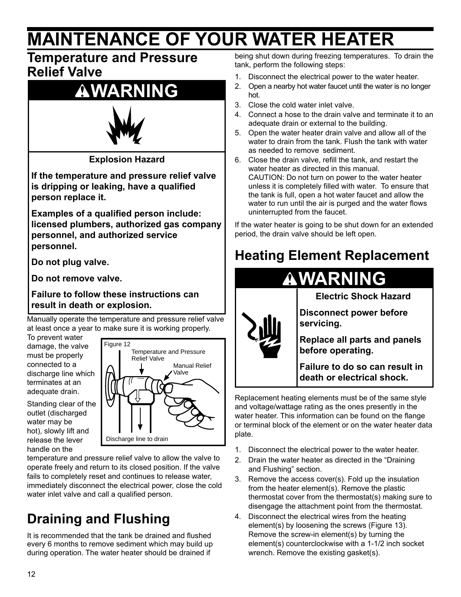# **MAINTENANCE OF YOUR WATER HEATER**

### **Temperature and Pressure Relief Valve**

## **WARNING**



**Explosion Hazard**

**If the temperature and pressure relief valve is dripping or leaking, have a qualified person replace it.**

**Examples of a qualified person include: licensed plumbers, authorized gas company personnel, and authorized service personnel.**

**Do not plug valve.**

**Do not remove valve.**

**Failure to follow these instructions can result in death or explosion.**

Manually operate the temperature and pressure relief valve at least once a year to make sure it is working properly.

To prevent water damage, the valve must be properly connected to a discharge line which terminates at an adequate drain.

Standing clear of the outlet (discharged water may be hot), slowly lift and release the lever handle on the



temperature and pressure relief valve to allow the valve to operate freely and return to its closed position. If the valve fails to completely reset and continues to release water, immediately disconnect the electrical power, close the cold water inlet valve and call a qualified person.

## **Draining and Flushing**

It is recommended that the tank be drained and flushed every 6 months to remove sediment which may build up during operation. The water heater should be drained if

being shut down during freezing temperatures. To drain the tank, perform the following steps:

- 1. Disconnect the electrical power to the water heater.
- 2. Open a nearby hot water faucet until the water is no longer hot.
- 3. Close the cold water inlet valve.
- 4. Connect a hose to the drain valve and terminate it to an adequate drain or external to the building.
- 5. Open the water heater drain valve and allow all of the water to drain from the tank. Flush the tank with water as needed to remove sediment.
- 6. Close the drain valve, refill the tank, and restart the water heater as directed in this manual. CAUTION: Do not turn on power to the water heater unless it is completely filled with water. To ensure that the tank is full, open a hot water faucet and allow the water to run until the air is purged and the water flows uninterrupted from the faucet.

If the water heater is going to be shut down for an extended period, the drain valve should be left open.

### **Heating Element Replacement**



**Electric Shock Hazard**

**Disconnect power before servicing.**

**Replace all parts and panels before operating.**

**Failure to do so can result in death or electrical shock.**

Replacement heating elements must be of the same style and voltage/wattage rating as the ones presently in the water heater. This information can be found on the flange or terminal block of the element or on the water heater data plate.

- 1. Disconnect the electrical power to the water heater.
- 2. Drain the water heater as directed in the "Draining and Flushing" section.
- 3. Remove the access cover(s). Fold up the insulation from the heater element(s). Remove the plastic thermostat cover from the thermostat(s) making sure to disengage the attachment point from the thermostat.
- 4. Disconnect the electrical wires from the heating element(s) by loosening the screws (Figure 13). Remove the screw-in element(s) by turning the element(s) counterclockwise with a 1-1/2 inch socket wrench. Remove the existing gasket(s).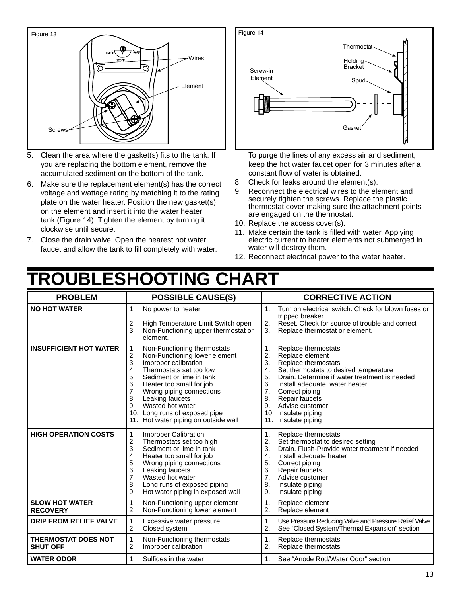

- 5. Clean the area where the gasket(s) fits to the tank. If you are replacing the bottom element, remove the accumulated sediment on the bottom of the tank.
- 6. Make sure the replacement element(s) has the correct voltage and wattage rating by matching it to the rating plate on the water heater. Position the new gasket(s) on the element and insert it into the water heater tank (Figure 14). Tighten the element by turning it clockwise until secure.
- 7. Close the drain valve. Open the nearest hot water faucet and allow the tank to fill completely with water.



To purge the lines of any excess air and sediment, keep the hot water faucet open for 3 minutes after a constant flow of water is obtained.

- 8. Check for leaks around the element(s).
- 9. Reconnect the electrical wires to the element and securely tighten the screws. Replace the plastic thermostat cover making sure the attachment points are engaged on the thermostat.
- 10. Replace the access cover(s).
- 11. Make certain the tank is filled with water. Applying electric current to heater elements not submerged in water will destroy them.
- 12. Reconnect electrical power to the water heater.

# **TROUBLESHOOTING CHART**

| <b>PROBLEM</b>                                | <b>POSSIBLE CAUSE(S)</b>                                                                                                                                                                                                                                                                                                                                                  | <b>CORRECTIVE ACTION</b>                                                                                                                                                                                                                                                                                                                             |
|-----------------------------------------------|---------------------------------------------------------------------------------------------------------------------------------------------------------------------------------------------------------------------------------------------------------------------------------------------------------------------------------------------------------------------------|------------------------------------------------------------------------------------------------------------------------------------------------------------------------------------------------------------------------------------------------------------------------------------------------------------------------------------------------------|
| <b>NO HOT WATER</b>                           | 1.<br>No power to heater<br>2.<br>High Temperature Limit Switch open<br>3.<br>Non-Functioning upper thermostat or<br>element.                                                                                                                                                                                                                                             | Turn on electrical switch. Check for blown fuses or<br>$\mathbf{1}$ .<br>tripped breaker<br>Reset. Check for source of trouble and correct<br>2.<br>3.<br>Replace thermostat or element.                                                                                                                                                             |
| <b>INSUFFICIENT HOT WATER</b>                 | Non-Functioning thermostats<br>1.<br>2.<br>Non-Functioning lower element<br>3.<br>Improper calibration<br>Thermostats set too low<br>4.<br>5.<br>Sediment or lime in tank<br>6.<br>Heater too small for job<br>7.<br>Wrong piping connections<br>8.<br>Leaking faucets<br>9.<br>Wasted hot water<br>10. Long runs of exposed pipe<br>11. Hot water piping on outside wall | 1.<br>Replace thermostats<br>2.<br>Replace element<br>3.<br>Replace thermostats<br>Set thermostats to desired temperature<br>4.<br>5.<br>Drain. Determine if water treatment is needed<br>6.<br>Install adequate water heater<br>7.<br>Correct piping<br>8.<br>Repair faucets<br>9.<br>Advise customer<br>10. Insulate piping<br>11. Insulate piping |
| <b>HIGH OPERATION COSTS</b>                   | Improper Calibration<br>$\mathbf 1$ .<br>2.<br>Thermostats set too high<br>3.<br>Sediment or lime in tank<br>4.<br>Heater too small for job<br>5.<br>Wrong piping connections<br>6.<br>Leaking faucets<br>7.<br>Wasted hot water<br>8.<br>Long runs of exposed piping<br>9.<br>Hot water piping in exposed wall                                                           | Replace thermostats<br>$\mathbf{1}$ .<br>Set thermostat to desired setting<br>2.<br>3.<br>Drain. Flush-Provide water treatment if needed<br>4.<br>Install adequate heater<br>5.<br>Correct piping<br>6.<br><b>Repair faucets</b><br>7 <sub>1</sub><br>Advise customer<br>8.<br>Insulate piping<br>9.<br>Insulate piping                              |
| <b>SLOW HOT WATER</b><br><b>RECOVERY</b>      | $\mathbf 1$ .<br>Non-Functioning upper element<br>2.<br>Non-Functioning lower element                                                                                                                                                                                                                                                                                     | 1.<br>Replace element<br>2.<br>Replace element                                                                                                                                                                                                                                                                                                       |
| <b>DRIP FROM RELIEF VALVE</b>                 | 1.<br>Excessive water pressure<br>2.<br>Closed system                                                                                                                                                                                                                                                                                                                     | $\mathbf{1}$ .<br>Use Pressure Reducing Valve and Pressure Relief Valve<br>2.<br>See "Closed System/Thermal Expansion" section                                                                                                                                                                                                                       |
| <b>THERMOSTAT DOES NOT</b><br><b>SHUT OFF</b> | Non-Functioning thermostats<br>1.<br>2.<br>Improper calibration                                                                                                                                                                                                                                                                                                           | Replace thermostats<br>$\mathbf{1}$ .<br>2.<br>Replace thermostats                                                                                                                                                                                                                                                                                   |
| <b>WATER ODOR</b>                             | Sulfides in the water<br>1.                                                                                                                                                                                                                                                                                                                                               | See "Anode Rod/Water Odor" section<br>1.                                                                                                                                                                                                                                                                                                             |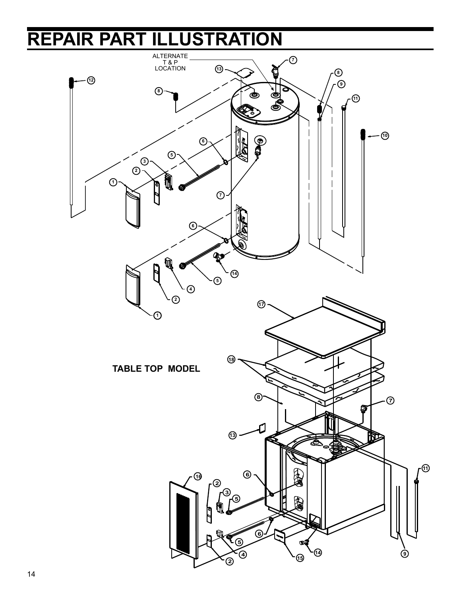# **REPAIR PART ILLUSTRATION**

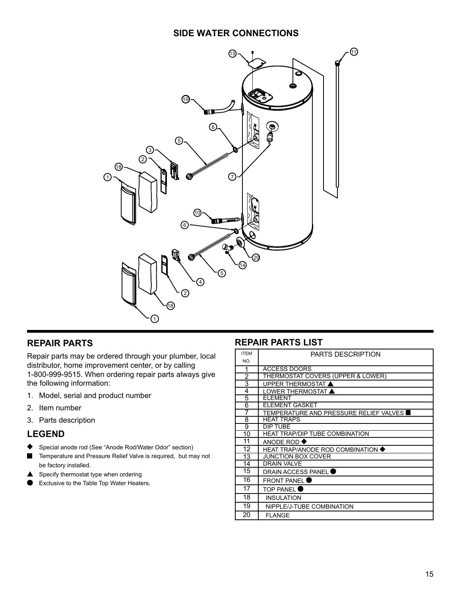#### **SIDE WATER CONNECTIONS**



#### **REPAIR PARTS**

Repair parts may be ordered through your plumber, local distributor, home improvement center, or by calling 1-800-999-9515. When ordering repair parts always give the following information:

- 1. Model, serial and product number
- 2. Item number
- 3. Parts description

#### **LEGEND**

- Special anode rod (See "Anode Rod/Water Odor" section)
- Temperature and Pressure Relief Valve is required, but may not be factory installed.
- Specify thermostat type when ordering
- Exclusive to the Table Top Water Heaters.

#### **REPAIR PARTS LIST**

| <b>ITFM</b> | <b>PARTS DESCRIPTION</b>                 |
|-------------|------------------------------------------|
| NO.         |                                          |
| 1           | <b>ACCESS DOORS</b>                      |
| 2           | THERMOSTAT COVERS (UPPER & LOWER)        |
| 3           | <b>UPPER THERMOSTAT ▲</b>                |
| 4           | LOWER THERMOSTAT ▲                       |
| 5           | <b>ELEMENT</b>                           |
| 6           | <b>ELEMENT GASKET</b>                    |
| 7           | TEMPERATURE AND PRESSURE RELIEF VALVES   |
| 8           | <b>HEAT TRAPS</b>                        |
| 9           | DIP TUBE                                 |
| 10          | <b>HEAT TRAP/DIP TUBE COMBINATION</b>    |
| 11          | ANODE ROD $\blacklozenge$                |
| 12          | <b>HEAT TRAP/ANODE ROD COMBINATION ♦</b> |
| 13          | <b>JUNCTION BOX COVER</b>                |
| 14          | <b>DRAIN VALVE</b>                       |
| 15          | <b>DRAIN ACCESS PANEL</b>                |
| 16          | <b>FRONT PANEL</b>                       |
| 17          | <b>TOP PANEL</b>                         |
| 18          | <b>INSULATION</b>                        |
| 19          | NIPPLE/J-TUBE COMBINATION                |
| 20          | <b>FLANGE</b>                            |